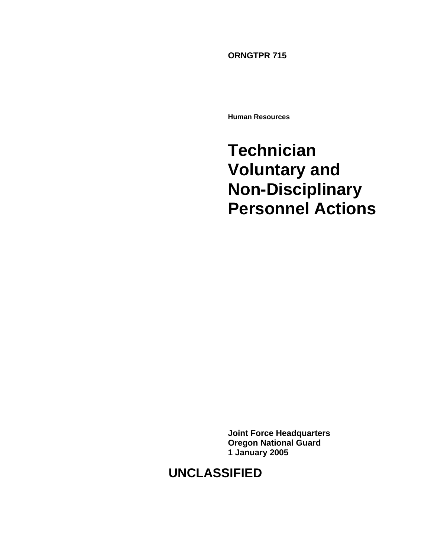**ORNGTPR 715** 

**Human Resources** 

# **Technician Voluntary and Non-Disciplinary Personnel Actions**

**Joint Force Headquarters Oregon National Guard 1 January 2005** 

# **UNCLASSIFIED**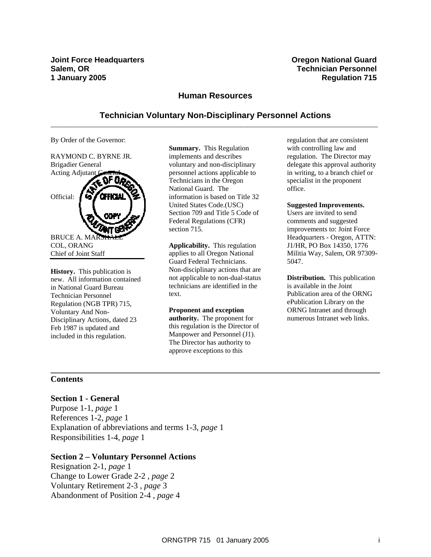**Joint Force Headquarters Community Community Community Community Creqon National Guard Salem. OR** Technician Personnel **1 January 2005 Regulation 715** 

#### **Human Resources**

#### **Technician Voluntary Non-Disciplinary Personnel Actions**  $\overline{a}$  , and the contribution of the contribution of the contribution of the contribution of the contribution of the contribution of the contribution of the contribution of the contribution of the contribution of the co

By Order of the Governor:



**History.** This publication is new. All information contained in National Guard Bureau Technician Personnel Regulation (NGB TPR) 715, Voluntary And Non-Disciplinary Actions, dated 23 Feb 1987 is updated and included in this regulation.

**Summary.** This Regulation implements and describes voluntary and non-disciplinary personnel actions applicable to Technicians in the Oregon National Guard. The information is based on Title 32 United States Code.(USC) Section 709 and Title 5 Code of Federal Regulations (CFR) section 715.

**Applicability.** This regulation applies to all Oregon National Guard Federal Technicians. Non-disciplinary actions that are not applicable to non-dual-status technicians are identified in the text.

#### **Proponent and exception**

**authority.** The proponent for this regulation is the Director of Manpower and Personnel (J1). The Director has authority to approve exceptions to this

**\_\_\_\_\_\_\_\_\_\_\_\_\_\_\_\_\_\_\_\_\_\_\_\_\_\_\_\_\_\_\_\_\_\_\_\_\_\_\_\_\_\_\_\_\_\_\_\_\_\_\_\_\_\_\_\_\_\_\_\_\_\_\_\_\_\_\_\_\_\_\_\_\_\_\_\_\_\_** 

regulation that are consistent with controlling law and regulation. The Director may delegate this approval authority in writing, to a branch chief or specialist in the proponent office.

#### **Suggested Improvements.**

Users are invited to send comments and suggested improvements to: Joint Force Headquarters - Oregon, ATTN: J1/HR, PO Box 14350, 1776 Militia Way, Salem, OR 97309- 5047.

**Distribution.** This publication is available in the Joint Publication area of the ORNG ePublication Library on the ORNG Intranet and through numerous Intranet web links.

#### **Contents**

#### **Section 1 - General**

Purpose 1-1, *page* 1 References 1-2, *page* 1 Explanation of abbreviations and terms 1-3, *page* 1 Responsibilities 1-4, *page* 1

#### **Section 2 – Voluntary Personnel Actions**

Resignation 2-1, *page* 1 Change to Lower Grade 2-2 , *page* 2 Voluntary Retirement 2-3 , *page* 3 Abandonment of Position 2-4 , *page* 4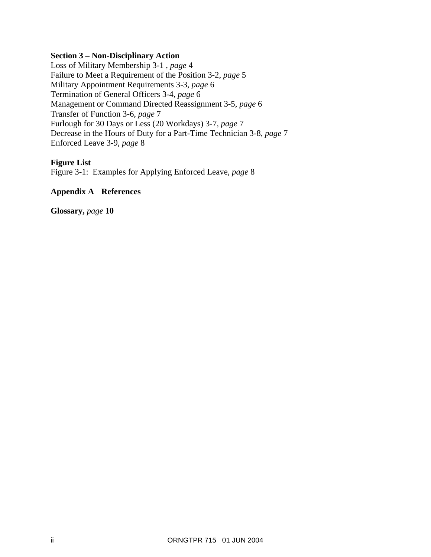#### **Section 3 – Non-Disciplinary Action**

Loss of Military Membership 3-1 , *page* 4 Failure to Meet a Requirement of the Position 3-2, *page* 5 Military Appointment Requirements 3-3, *page* 6 Termination of General Officers 3-4, *page* 6 Management or Command Directed Reassignment 3-5, *page* 6 Transfer of Function 3-6, *page* 7 Furlough for 30 Days or Less (20 Workdays) 3-7, *page* 7 Decrease in the Hours of Duty for a Part-Time Technician 3-8, *page* 7 Enforced Leave 3-9, *page* 8

#### **Figure List**

Figure 3-1: Examples for Applying Enforced Leave, *page* 8

#### **Appendix A References**

**Glossary,** *page* **10**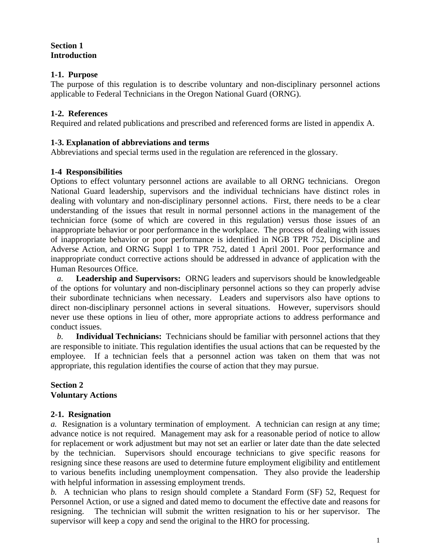#### **Section 1 Introduction**

#### **1-1. Purpose**

The purpose of this regulation is to describe voluntary and non-disciplinary personnel actions applicable to Federal Technicians in the Oregon National Guard (ORNG).

### **1-2. References**

Required and related publications and prescribed and referenced forms are listed in appendix A.

### **1-3. Explanation of abbreviations and terms**

Abbreviations and special terms used in the regulation are referenced in the glossary.

### **1-4 Responsibilities**

Options to effect voluntary personnel actions are available to all ORNG technicians. Oregon National Guard leadership, supervisors and the individual technicians have distinct roles in dealing with voluntary and non-disciplinary personnel actions. First, there needs to be a clear understanding of the issues that result in normal personnel actions in the management of the technician force (some of which are covered in this regulation) versus those issues of an inappropriate behavior or poor performance in the workplace. The process of dealing with issues of inappropriate behavior or poor performance is identified in NGB TPR 752, Discipline and Adverse Action, and ORNG Suppl 1 to TPR 752, dated 1 April 2001. Poor performance and inappropriate conduct corrective actions should be addressed in advance of application with the Human Resources Office.

*a.* **Leadership and Supervisors:** ORNG leaders and supervisors should be knowledgeable of the options for voluntary and non-disciplinary personnel actions so they can properly advise their subordinate technicians when necessary. Leaders and supervisors also have options to direct non-disciplinary personnel actions in several situations. However, supervisors should never use these options in lieu of other, more appropriate actions to address performance and conduct issues.

*b.* **Individual Technicians:** Technicians should be familiar with personnel actions that they are responsible to initiate. This regulation identifies the usual actions that can be requested by the employee. If a technician feels that a personnel action was taken on them that was not appropriate, this regulation identifies the course of action that they may pursue.

#### **Section 2 Voluntary Actions**

### **2-1. Resignation**

*a.* Resignation is a voluntary termination of employment. A technician can resign at any time; advance notice is not required. Management may ask for a reasonable period of notice to allow for replacement or work adjustment but may not set an earlier or later date than the date selected by the technician. Supervisors should encourage technicians to give specific reasons for resigning since these reasons are used to determine future employment eligibility and entitlement to various benefits including unemployment compensation. They also provide the leadership with helpful information in assessing employment trends.

*b.* A technician who plans to resign should complete a Standard Form (SF) 52, Request for Personnel Action, or use a signed and dated memo to document the effective date and reasons for resigning. The technician will submit the written resignation to his or her supervisor. The supervisor will keep a copy and send the original to the HRO for processing.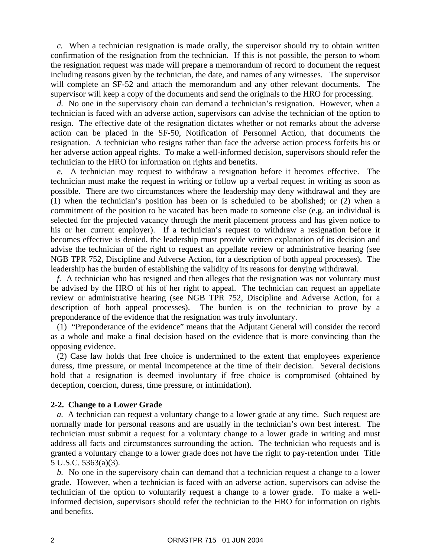*c.* When a technician resignation is made orally, the supervisor should try to obtain written confirmation of the resignation from the technician. If this is not possible, the person to whom the resignation request was made will prepare a memorandum of record to document the request including reasons given by the technician, the date, and names of any witnesses. The supervisor will complete an SF-52 and attach the memorandum and any other relevant documents. The supervisor will keep a copy of the documents and send the originals to the HRO for processing.

*d.* No one in the supervisory chain can demand a technician's resignation. However, when a technician is faced with an adverse action, supervisors can advise the technician of the option to resign. The effective date of the resignation dictates whether or not remarks about the adverse action can be placed in the SF-50, Notification of Personnel Action, that documents the resignation. A technician who resigns rather than face the adverse action process forfeits his or her adverse action appeal rights. To make a well-informed decision, supervisors should refer the technician to the HRO for information on rights and benefits.

*e.* A technician may request to withdraw a resignation before it becomes effective. The technician must make the request in writing or follow up a verbal request in writing as soon as possible. There are two circumstances where the leadership may deny withdrawal and they are (1) when the technician's position has been or is scheduled to be abolished; or (2) when a commitment of the position to be vacated has been made to someone else (e.g. an individual is selected for the projected vacancy through the merit placement process and has given notice to his or her current employer). If a technician's request to withdraw a resignation before it becomes effective is denied, the leadership must provide written explanation of its decision and advise the technician of the right to request an appellate review or administrative hearing (see NGB TPR 752, Discipline and Adverse Action, for a description of both appeal processes). The leadership has the burden of establishing the validity of its reasons for denying withdrawal.

*f.* A technician who has resigned and then alleges that the resignation was not voluntary must be advised by the HRO of his of her right to appeal. The technician can request an appellate review or administrative hearing (see NGB TPR 752, Discipline and Adverse Action, for a description of both appeal processes). The burden is on the technician to prove by a preponderance of the evidence that the resignation was truly involuntary.

(1) "Preponderance of the evidence" means that the Adjutant General will consider the record as a whole and make a final decision based on the evidence that is more convincing than the opposing evidence.

(2) Case law holds that free choice is undermined to the extent that employees experience duress, time pressure, or mental incompetence at the time of their decision. Several decisions hold that a resignation is deemed involuntary if free choice is compromised (obtained by deception, coercion, duress, time pressure, or intimidation).

#### **2-2. Change to a Lower Grade**

*a.* A technician can request a voluntary change to a lower grade at any time. Such request are normally made for personal reasons and are usually in the technician's own best interest. The technician must submit a request for a voluntary change to a lower grade in writing and must address all facts and circumstances surrounding the action. The technician who requests and is granted a voluntary change to a lower grade does not have the right to pay-retention under Title 5 U.S.C. 5363(a)(3).

*b.* No one in the supervisory chain can demand that a technician request a change to a lower grade. However, when a technician is faced with an adverse action, supervisors can advise the technician of the option to voluntarily request a change to a lower grade. To make a wellinformed decision, supervisors should refer the technician to the HRO for information on rights and benefits.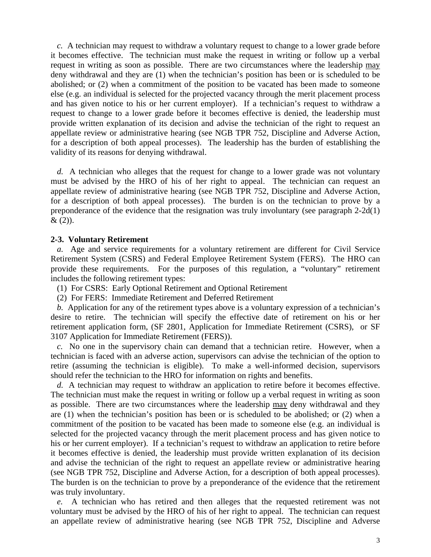*c.* A technician may request to withdraw a voluntary request to change to a lower grade before it becomes effective. The technician must make the request in writing or follow up a verbal request in writing as soon as possible. There are two circumstances where the leadership may deny withdrawal and they are (1) when the technician's position has been or is scheduled to be abolished; or (2) when a commitment of the position to be vacated has been made to someone else (e.g. an individual is selected for the projected vacancy through the merit placement process and has given notice to his or her current employer). If a technician's request to withdraw a request to change to a lower grade before it becomes effective is denied, the leadership must provide written explanation of its decision and advise the technician of the right to request an appellate review or administrative hearing (see NGB TPR 752, Discipline and Adverse Action, for a description of both appeal processes). The leadership has the burden of establishing the validity of its reasons for denying withdrawal.

*d.* A technician who alleges that the request for change to a lower grade was not voluntary must be advised by the HRO of his of her right to appeal. The technician can request an appellate review of administrative hearing (see NGB TPR 752, Discipline and Adverse Action, for a description of both appeal processes). The burden is on the technician to prove by a preponderance of the evidence that the resignation was truly involuntary (see paragraph 2-2d(1)  $& (2)$ ).

#### **2-3. Voluntary Retirement**

*a.* Age and service requirements for a voluntary retirement are different for Civil Service Retirement System (CSRS) and Federal Employee Retirement System (FERS). The HRO can provide these requirements. For the purposes of this regulation, a "voluntary" retirement includes the following retirement types:

- (1) For CSRS: Early Optional Retirement and Optional Retirement
- (2) For FERS: Immediate Retirement and Deferred Retirement

*b.* Application for any of the retirement types above is a voluntary expression of a technician's desire to retire. The technician will specify the effective date of retirement on his or her retirement application form, (SF 2801, Application for Immediate Retirement (CSRS), or SF 3107 Application for Immediate Retirement (FERS)).

*c.* No one in the supervisory chain can demand that a technician retire. However, when a technician is faced with an adverse action, supervisors can advise the technician of the option to retire (assuming the technician is eligible). To make a well-informed decision, supervisors should refer the technician to the HRO for information on rights and benefits.

*d.* A technician may request to withdraw an application to retire before it becomes effective. The technician must make the request in writing or follow up a verbal request in writing as soon as possible. There are two circumstances where the leadership may deny withdrawal and they are (1) when the technician's position has been or is scheduled to be abolished; or (2) when a commitment of the position to be vacated has been made to someone else (e.g. an individual is selected for the projected vacancy through the merit placement process and has given notice to his or her current employer). If a technician's request to withdraw an application to retire before it becomes effective is denied, the leadership must provide written explanation of its decision and advise the technician of the right to request an appellate review or administrative hearing (see NGB TPR 752, Discipline and Adverse Action, for a description of both appeal processes). The burden is on the technician to prove by a preponderance of the evidence that the retirement was truly involuntary.

*e.* A technician who has retired and then alleges that the requested retirement was not voluntary must be advised by the HRO of his of her right to appeal. The technician can request an appellate review of administrative hearing (see NGB TPR 752, Discipline and Adverse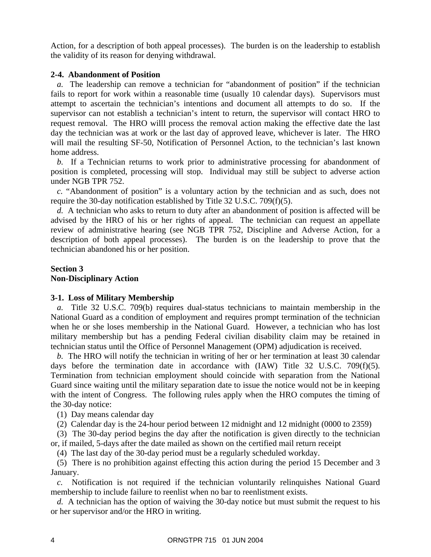Action, for a description of both appeal processes). The burden is on the leadership to establish the validity of its reason for denying withdrawal.

#### **2-4. Abandonment of Position**

*a.* The leadership can remove a technician for "abandonment of position" if the technician fails to report for work within a reasonable time (usually 10 calendar days). Supervisors must attempt to ascertain the technician's intentions and document all attempts to do so. If the supervisor can not establish a technician's intent to return, the supervisor will contact HRO to request removal. The HRO willl process the removal action making the effective date the last day the technician was at work or the last day of approved leave, whichever is later. The HRO will mail the resulting SF-50, Notification of Personnel Action, to the technician's last known home address.

*b.* If a Technician returns to work prior to administrative processing for abandonment of position is completed, processing will stop. Individual may still be subject to adverse action under NGB TPR 752.

*c.* "Abandonment of position" is a voluntary action by the technician and as such, does not require the 30-day notification established by Title 32 U.S.C. 709(f)(5).

*d.* A technician who asks to return to duty after an abandonment of position is affected will be advised by the HRO of his or her rights of appeal. The technician can request an appellate review of administrative hearing (see NGB TPR 752, Discipline and Adverse Action, for a description of both appeal processes). The burden is on the leadership to prove that the technician abandoned his or her position.

#### **Section 3 Non-Disciplinary Action**

#### **3-1. Loss of Military Membership**

*a.* Title 32 U.S.C. 709(b) requires dual-status technicians to maintain membership in the National Guard as a condition of employment and requires prompt termination of the technician when he or she loses membership in the National Guard. However, a technician who has lost military membership but has a pending Federal civilian disability claim may be retained in technician status until the Office of Personnel Management (OPM) adjudication is received.

*b.* The HRO will notify the technician in writing of her or her termination at least 30 calendar days before the termination date in accordance with (IAW) Title 32 U.S.C. 709(f)(5). Termination from technician employment should coincide with separation from the National Guard since waiting until the military separation date to issue the notice would not be in keeping with the intent of Congress. The following rules apply when the HRO computes the timing of the 30-day notice:

(1) Day means calendar day

(2) Calendar day is the 24-hour period between 12 midnight and 12 midnight (0000 to 2359)

(3) The 30-day period begins the day after the notification is given directly to the technician or, if mailed, 5-days after the date mailed as shown on the certified mail return receipt

(4) The last day of the 30-day period must be a regularly scheduled workday.

(5) There is no prohibition against effecting this action during the period 15 December and 3 January.

*c.* Notification is not required if the technician voluntarily relinquishes National Guard membership to include failure to reenlist when no bar to reenlistment exists.

*d.* A technician has the option of waiving the 30-day notice but must submit the request to his or her supervisor and/or the HRO in writing.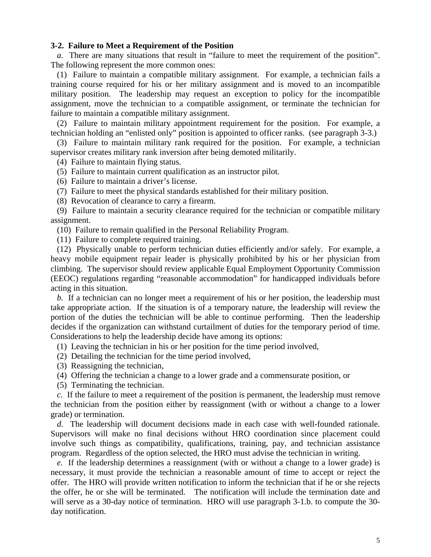#### **3-2. Failure to Meet a Requirement of the Position**

*a.* There are many situations that result in "failure to meet the requirement of the position". The following represent the more common ones:

(1) Failure to maintain a compatible military assignment. For example, a technician fails a training course required for his or her military assignment and is moved to an incompatible military position. The leadership may request an exception to policy for the incompatible assignment, move the technician to a compatible assignment, or terminate the technician for failure to maintain a compatible military assignment.

(2) Failure to maintain military appointment requirement for the position. For example, a technician holding an "enlisted only" position is appointed to officer ranks. (see paragraph 3-3.)

(3) Failure to maintain military rank required for the position. For example, a technician supervisor creates military rank inversion after being demoted militarily.

(4) Failure to maintain flying status.

(5) Failure to maintain current qualification as an instructor pilot.

(6) Failure to maintain a driver's license.

(7) Failure to meet the physical standards established for their military position.

(8) Revocation of clearance to carry a firearm.

(9) Failure to maintain a security clearance required for the technician or compatible military assignment.

(10) Failure to remain qualified in the Personal Reliability Program.

(11) Failure to complete required training.

(12) Physically unable to perform technician duties efficiently and/or safely. For example, a heavy mobile equipment repair leader is physically prohibited by his or her physician from climbing. The supervisor should review applicable Equal Employment Opportunity Commission (EEOC) regulations regarding "reasonable accommodation" for handicapped individuals before acting in this situation.

*b.* If a technician can no longer meet a requirement of his or her position, the leadership must take appropriate action. If the situation is of a temporary nature, the leadership will review the portion of the duties the technician will be able to continue performing. Then the leadership decides if the organization can withstand curtailment of duties for the temporary period of time. Considerations to help the leadership decide have among its options:

(1) Leaving the technician in his or her position for the time period involved,

(2) Detailing the technician for the time period involved,

(3) Reassigning the technician,

(4) Offering the technician a change to a lower grade and a commensurate position, or

(5) Terminating the technician.

*c.* If the failure to meet a requirement of the position is permanent, the leadership must remove the technician from the position either by reassignment (with or without a change to a lower grade) or termination.

*d.* The leadership will document decisions made in each case with well-founded rationale. Supervisors will make no final decisions without HRO coordination since placement could involve such things as compatibility, qualifications, training, pay, and technician assistance program. Regardless of the option selected, the HRO must advise the technician in writing.

*e.* If the leadership determines a reassignment (with or without a change to a lower grade) is necessary, it must provide the technician a reasonable amount of time to accept or reject the offer. The HRO will provide written notification to inform the technician that if he or she rejects the offer, he or she will be terminated. The notification will include the termination date and will serve as a 30-day notice of termination. HRO will use paragraph 3-1.b. to compute the 30 day notification.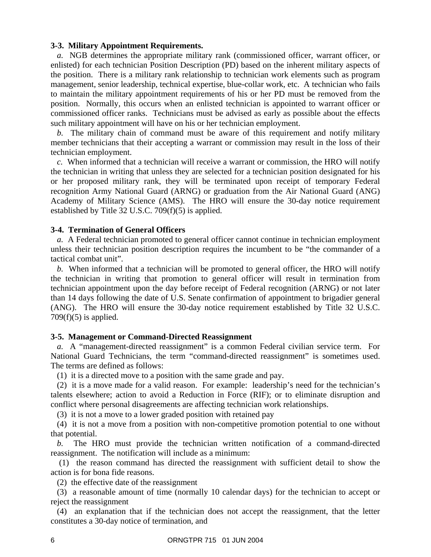#### **3-3. Military Appointment Requirements.**

*a.* NGB determines the appropriate military rank (commissioned officer, warrant officer, or enlisted) for each technician Position Description (PD) based on the inherent military aspects of the position. There is a military rank relationship to technician work elements such as program management, senior leadership, technical expertise, blue-collar work, etc. A technician who fails to maintain the military appointment requirements of his or her PD must be removed from the position. Normally, this occurs when an enlisted technician is appointed to warrant officer or commissioned officer ranks. Technicians must be advised as early as possible about the effects such military appointment will have on his or her technician employment.

*b.* The military chain of command must be aware of this requirement and notify military member technicians that their accepting a warrant or commission may result in the loss of their technician employment.

*c.* When informed that a technician will receive a warrant or commission, the HRO will notify the technician in writing that unless they are selected for a technician position designated for his or her proposed military rank, they will be terminated upon receipt of temporary Federal recognition Army National Guard (ARNG) or graduation from the Air National Guard (ANG) Academy of Military Science (AMS). The HRO will ensure the 30-day notice requirement established by Title 32 U.S.C. 709(f)(5) is applied.

#### **3-4. Termination of General Officers**

*a.* A Federal technician promoted to general officer cannot continue in technician employment unless their technician position description requires the incumbent to be "the commander of a tactical combat unit".

*b.* When informed that a technician will be promoted to general officer, the HRO will notify the technician in writing that promotion to general officer will result in termination from technician appointment upon the day before receipt of Federal recognition (ARNG) or not later than 14 days following the date of U.S. Senate confirmation of appointment to brigadier general (ANG). The HRO will ensure the 30-day notice requirement established by Title 32 U.S.C.  $709(f)(5)$  is applied.

#### **3-5. Management or Command-Directed Reassignment**

*a.* A "management-directed reassignment" is a common Federal civilian service term. For National Guard Technicians, the term "command-directed reassignment" is sometimes used. The terms are defined as follows:

(1) it is a directed move to a position with the same grade and pay.

(2) it is a move made for a valid reason. For example: leadership's need for the technician's talents elsewhere; action to avoid a Reduction in Force (RIF); or to eliminate disruption and conflict where personal disagreements are affecting technician work relationships.

(3) it is not a move to a lower graded position with retained pay

(4) it is not a move from a position with non-competitive promotion potential to one without that potential.

*b.* The HRO must provide the technician written notification of a command-directed reassignment. The notification will include as a minimum:

 (1) the reason command has directed the reassignment with sufficient detail to show the action is for bona fide reasons.

(2) the effective date of the reassignment

(3) a reasonable amount of time (normally 10 calendar days) for the technician to accept or reject the reassignment

(4) an explanation that if the technician does not accept the reassignment, that the letter constitutes a 30-day notice of termination, and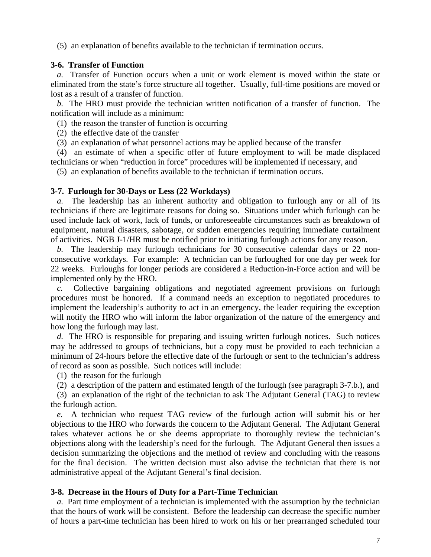(5) an explanation of benefits available to the technician if termination occurs.

#### **3-6. Transfer of Function**

*a.* Transfer of Function occurs when a unit or work element is moved within the state or eliminated from the state's force structure all together. Usually, full-time positions are moved or lost as a result of a transfer of function.

*b.* The HRO must provide the technician written notification of a transfer of function. The notification will include as a minimum:

(1) the reason the transfer of function is occurring

(2) the effective date of the transfer

(3) an explanation of what personnel actions may be applied because of the transfer

(4) an estimate of when a specific offer of future employment to will be made displaced technicians or when "reduction in force" procedures will be implemented if necessary, and

(5) an explanation of benefits available to the technician if termination occurs.

#### **3-7. Furlough for 30-Days or Less (22 Workdays)**

*a.* The leadership has an inherent authority and obligation to furlough any or all of its technicians if there are legitimate reasons for doing so. Situations under which furlough can be used include lack of work, lack of funds, or unforeseeable circumstances such as breakdown of equipment, natural disasters, sabotage, or sudden emergencies requiring immediate curtailment of activities. NGB J-1/HR must be notified prior to initiating furlough actions for any reason.

*b.* The leadership may furlough technicians for 30 consecutive calendar days or 22 nonconsecutive workdays. For example: A technician can be furloughed for one day per week for 22 weeks. Furloughs for longer periods are considered a Reduction-in-Force action and will be implemented only by the HRO.

*c.* Collective bargaining obligations and negotiated agreement provisions on furlough procedures must be honored. If a command needs an exception to negotiated procedures to implement the leadership's authority to act in an emergency, the leader requiring the exception will notify the HRO who will inform the labor organization of the nature of the emergency and how long the furlough may last.

*d.* The HRO is responsible for preparing and issuing written furlough notices. Such notices may be addressed to groups of technicians, but a copy must be provided to each technician a minimum of 24-hours before the effective date of the furlough or sent to the technician's address of record as soon as possible. Such notices will include:

(1) the reason for the furlough

(2) a description of the pattern and estimated length of the furlough (see paragraph 3-7.b.), and

(3) an explanation of the right of the technician to ask The Adjutant General (TAG) to review the furlough action.

*e.* A technician who request TAG review of the furlough action will submit his or her objections to the HRO who forwards the concern to the Adjutant General. The Adjutant General takes whatever actions he or she deems appropriate to thoroughly review the technician's objections along with the leadership's need for the furlough. The Adjutant General then issues a decision summarizing the objections and the method of review and concluding with the reasons for the final decision. The written decision must also advise the technician that there is not administrative appeal of the Adjutant General's final decision.

#### **3-8. Decrease in the Hours of Duty for a Part-Time Technician**

*a.* Part time employment of a technician is implemented with the assumption by the technician that the hours of work will be consistent. Before the leadership can decrease the specific number of hours a part-time technician has been hired to work on his or her prearranged scheduled tour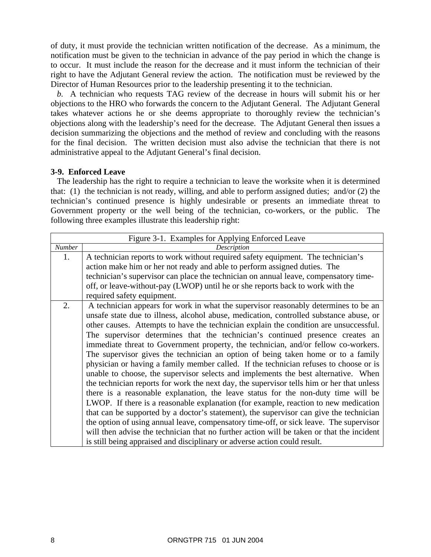of duty, it must provide the technician written notification of the decrease. As a minimum, the notification must be given to the technician in advance of the pay period in which the change is to occur. It must include the reason for the decrease and it must inform the technician of their right to have the Adjutant General review the action. The notification must be reviewed by the Director of Human Resources prior to the leadership presenting it to the technician.

*b.* A technician who requests TAG review of the decrease in hours will submit his or her objections to the HRO who forwards the concern to the Adjutant General. The Adjutant General takes whatever actions he or she deems appropriate to thoroughly review the technician's objections along with the leadership's need for the decrease. The Adjutant General then issues a decision summarizing the objections and the method of review and concluding with the reasons for the final decision. The written decision must also advise the technician that there is not administrative appeal to the Adjutant General's final decision.

#### **3-9. Enforced Leave**

The leadership has the right to require a technician to leave the worksite when it is determined that: (1) the technician is not ready, willing, and able to perform assigned duties; and/or (2) the technician's continued presence is highly undesirable or presents an immediate threat to Government property or the well being of the technician, co-workers, or the public. The following three examples illustrate this leadership right:

| Figure 3-1. Examples for Applying Enforced Leave |                                                                                           |
|--------------------------------------------------|-------------------------------------------------------------------------------------------|
| Number                                           | Description                                                                               |
| 1.                                               | A technician reports to work without required safety equipment. The technician's          |
|                                                  | action make him or her not ready and able to perform assigned duties. The                 |
|                                                  | technician's supervisor can place the technician on annual leave, compensatory time-      |
|                                                  | off, or leave-without-pay (LWOP) until he or she reports back to work with the            |
|                                                  | required safety equipment.                                                                |
| 2.                                               | A technician appears for work in what the supervisor reasonably determines to be an       |
|                                                  | unsafe state due to illness, alcohol abuse, medication, controlled substance abuse, or    |
|                                                  | other causes. Attempts to have the technician explain the condition are unsuccessful.     |
|                                                  | The supervisor determines that the technician's continued presence creates an             |
|                                                  | immediate threat to Government property, the technician, and/or fellow co-workers.        |
|                                                  | The supervisor gives the technician an option of being taken home or to a family          |
|                                                  | physician or having a family member called. If the technician refuses to choose or is     |
|                                                  | unable to choose, the supervisor selects and implements the best alternative. When        |
|                                                  | the technician reports for work the next day, the supervisor tells him or her that unless |
|                                                  | there is a reasonable explanation, the leave status for the non-duty time will be         |
|                                                  | LWOP. If there is a reasonable explanation (for example, reaction to new medication       |
|                                                  | that can be supported by a doctor's statement), the supervisor can give the technician    |
|                                                  | the option of using annual leave, compensatory time-off, or sick leave. The supervisor    |
|                                                  | will then advise the technician that no further action will be taken or that the incident |
|                                                  | is still being appraised and disciplinary or adverse action could result.                 |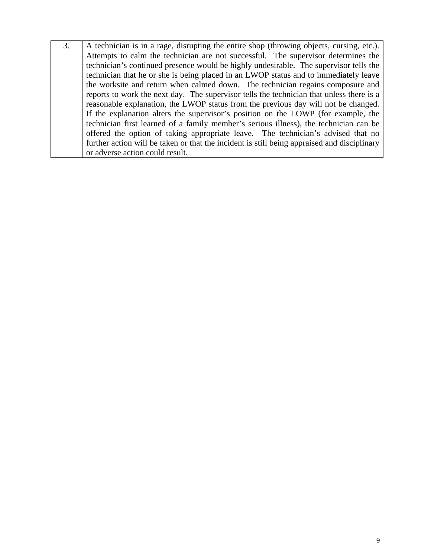3. A technician is in a rage, disrupting the entire shop (throwing objects, cursing, etc.). Attempts to calm the technician are not successful. The supervisor determines the technician's continued presence would be highly undesirable. The supervisor tells the technician that he or she is being placed in an LWOP status and to immediately leave the worksite and return when calmed down. The technician regains composure and reports to work the next day. The supervisor tells the technician that unless there is a reasonable explanation, the LWOP status from the previous day will not be changed. If the explanation alters the supervisor's position on the LOWP (for example, the technician first learned of a family member's serious illness), the technician can be offered the option of taking appropriate leave. The technician's advised that no further action will be taken or that the incident is still being appraised and disciplinary or adverse action could result.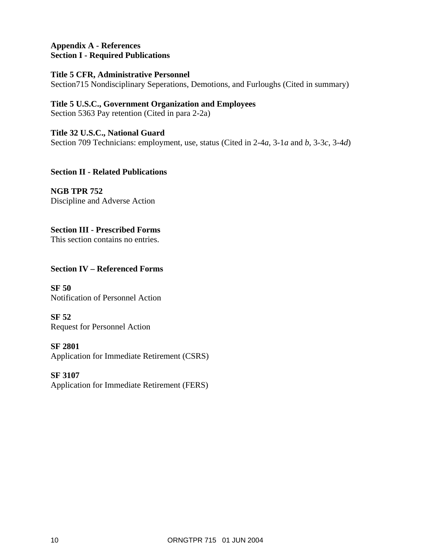#### **Appendix A - References Section I - Required Publications**

#### **Title 5 CFR, Administrative Personnel**

Section715 Nondisciplinary Seperations, Demotions, and Furloughs (Cited in summary)

## **Title 5 U.S.C., Government Organization and Employees**

Section 5363 Pay retention (Cited in para 2-2a)

#### **Title 32 U.S.C., National Guard**

Section 709 Technicians: employment, use, status (Cited in 2-4*a*, 3-1*a* and *b*, 3-3*c*, 3-4*d*)

**Section II - Related Publications** 

**NGB TPR 752**  Discipline and Adverse Action

**Section III - Prescribed Forms**  This section contains no entries.

#### **Section IV – Referenced Forms**

**SF 50** Notification of Personnel Action

**SF 52**  Request for Personnel Action

**SF 2801**  Application for Immediate Retirement (CSRS)

#### **SF 3107**  Application for Immediate Retirement (FERS)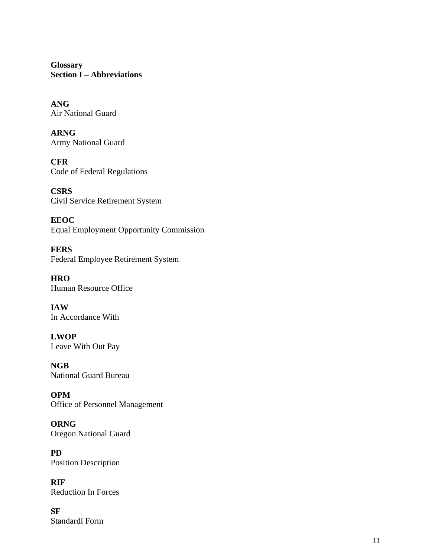**Glossary Section I – Abbreviations** 

**ANG**  Air National Guard

**ARNG**  Army National Guard

**CFR**  Code of Federal Regulations

**CSRS**  Civil Service Retirement System

**EEOC**  Equal Employment Opportunity Commission

**FERS**  Federal Employee Retirement System

**HRO**  Human Resource Office

**IAW**  In Accordance With

**LWOP**  Leave With Out Pay

**NGB**  National Guard Bureau

**OPM**  Office of Personnel Management

**ORNG**  Oregon National Guard

**PD**  Position Description

**RIF**  Reduction In Forces

**SF**  Standardl Form